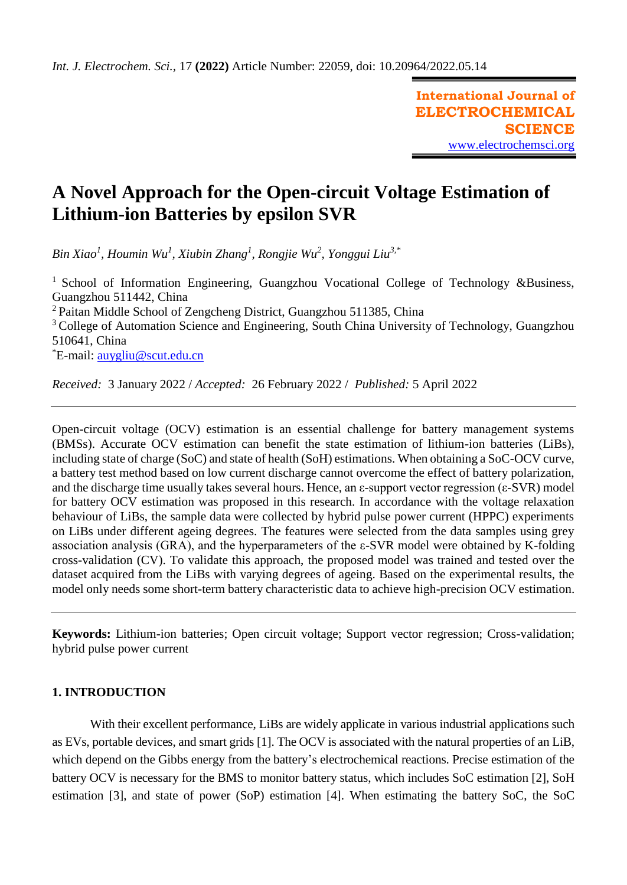**International Journal of ELECTROCHEMICAL SCIENCE** [www.electrochemsci.org](http://www.electrochemsci.org/)

# **A Novel Approach for the Open-circuit Voltage Estimation of Lithium-ion Batteries by epsilon SVR**

*Bin Xiao<sup>1</sup> , Houmin Wu<sup>1</sup> , Xiubin Zhang<sup>1</sup> , Rongjie Wu<sup>2</sup> , Yonggui Liu3,\**

<sup>1</sup> School of Information Engineering, Guangzhou Vocational College of Technology &Business, Guangzhou 511442, China <sup>2</sup> Paitan Middle School of Zengcheng District, Guangzhou 511385, China <sup>3</sup> College of Automation Science and Engineering, South China University of Technology, Guangzhou 510641, China \*E-mail: [auygliu@scut.edu.cn](mailto:auygliu@scut.edu.cn)

*Received:* 3 January 2022 / *Accepted:* 26 February 2022 / *Published:* 5 April 2022

Open-circuit voltage (OCV) estimation is an essential challenge for battery management systems (BMSs). Accurate OCV estimation can benefit the state estimation of lithium-ion batteries (LiBs), including state of charge (SoC) and state of health (SoH) estimations. When obtaining a SoC-OCV curve, a battery test method based on low current discharge cannot overcome the effect of battery polarization, and the discharge time usually takes several hours. Hence, an ε-support vector regression (ε-SVR) model for battery OCV estimation was proposed in this research. In accordance with the voltage relaxation behaviour of LiBs, the sample data were collected by hybrid pulse power current (HPPC) experiments on LiBs under different ageing degrees. The features were selected from the data samples using grey association analysis (GRA), and the hyperparameters of the ε-SVR model were obtained by K-folding cross-validation (CV). To validate this approach, the proposed model was trained and tested over the dataset acquired from the LiBs with varying degrees of ageing. Based on the experimental results, the model only needs some short-term battery characteristic data to achieve high-precision OCV estimation.

**Keywords:** Lithium-ion batteries; Open circuit voltage; Support vector regression; Cross-validation; hybrid pulse power current

# **1. INTRODUCTION**

With their excellent performance, LiBs are widely applicate in various industrial applications such as EVs, portable devices, and smart grids [1]. The OCV is associated with the natural properties of an LiB, which depend on the Gibbs energy from the battery's electrochemical reactions. Precise estimation of the battery OCV is necessary for the BMS to monitor battery status, which includes SoC estimation [2], SoH estimation [3], and state of power (SoP) estimation [4]. When estimating the battery SoC, the SoC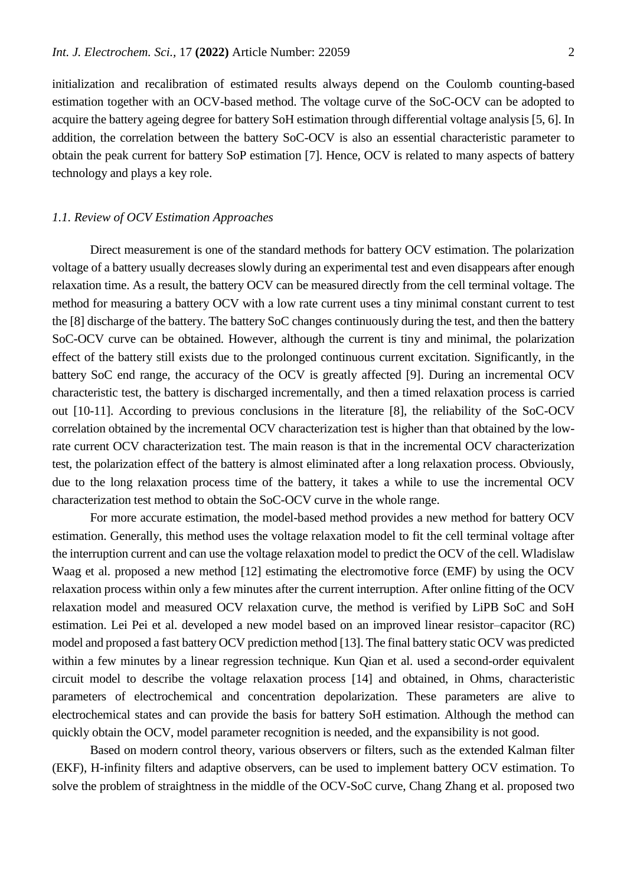initialization and recalibration of estimated results always depend on the Coulomb counting-based estimation together with an OCV-based method. The voltage curve of the SoC-OCV can be adopted to acquire the battery ageing degree for battery SoH estimation through differential voltage analysis [5, 6]. In addition, the correlation between the battery SoC-OCV is also an essential characteristic parameter to obtain the peak current for battery SoP estimation [7]. Hence, OCV is related to many aspects of battery technology and plays a key role.

## *1.1. Review of OCV Estimation Approaches*

Direct measurement is one of the standard methods for battery OCV estimation. The polarization voltage of a battery usually decreases slowly during an experimental test and even disappears after enough relaxation time. As a result, the battery OCV can be measured directly from the cell terminal voltage. The method for measuring a battery OCV with a low rate current uses a tiny minimal constant current to test the [8] discharge of the battery. The battery SoC changes continuously during the test, and then the battery SoC-OCV curve can be obtained. However, although the current is tiny and minimal, the polarization effect of the battery still exists due to the prolonged continuous current excitation. Significantly, in the battery SoC end range, the accuracy of the OCV is greatly affected [9]. During an incremental OCV characteristic test, the battery is discharged incrementally, and then a timed relaxation process is carried out [10-11]. According to previous conclusions in the literature [8], the reliability of the SoC-OCV correlation obtained by the incremental OCV characterization test is higher than that obtained by the lowrate current OCV characterization test. The main reason is that in the incremental OCV characterization test, the polarization effect of the battery is almost eliminated after a long relaxation process. Obviously, due to the long relaxation process time of the battery, it takes a while to use the incremental OCV characterization test method to obtain the SoC-OCV curve in the whole range.

For more accurate estimation, the model-based method provides a new method for battery OCV estimation. Generally, this method uses the voltage relaxation model to fit the cell terminal voltage after the interruption current and can use the voltage relaxation model to predict the OCV of the cell. Wladislaw Waag et al. proposed a new method [12] estimating the electromotive force (EMF) by using the OCV relaxation process within only a few minutes after the current interruption. After online fitting of the OCV relaxation model and measured OCV relaxation curve, the method is verified by LiPB SoC and SoH estimation. Lei Pei et al. developed a new model based on an improved linear resistor–capacitor (RC) model and proposed a fast battery OCV prediction method [13]. The final battery static OCV was predicted within a few minutes by a linear regression technique. Kun Qian et al. used a second-order equivalent circuit model to describe the voltage relaxation process [14] and obtained, in Ohms, characteristic parameters of electrochemical and concentration depolarization. These parameters are alive to electrochemical states and can provide the basis for battery SoH estimation. Although the method can quickly obtain the OCV, model parameter recognition is needed, and the expansibility is not good.

Based on modern control theory, various observers or filters, such as the extended Kalman filter (EKF), H-infinity filters and adaptive observers, can be used to implement battery OCV estimation. To solve the problem of straightness in the middle of the OCV-SoC curve, Chang Zhang et al. proposed two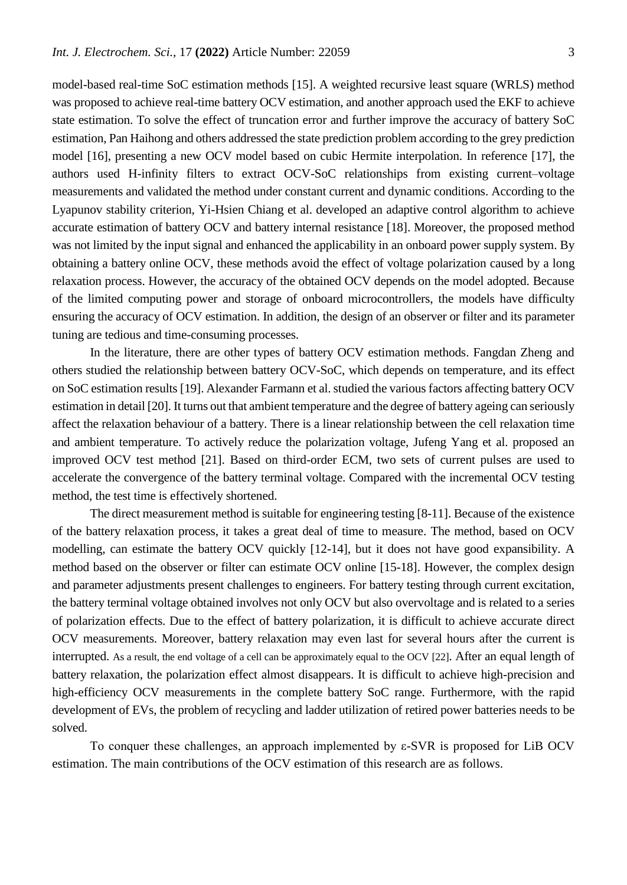model-based real-time SoC estimation methods [15]. A weighted recursive least square (WRLS) method was proposed to achieve real-time battery OCV estimation, and another approach used the EKF to achieve state estimation. To solve the effect of truncation error and further improve the accuracy of battery SoC estimation, Pan Haihong and others addressed the state prediction problem according to the grey prediction model [16], presenting a new OCV model based on cubic Hermite interpolation. In reference [17], the authors used H-infinity filters to extract OCV-SoC relationships from existing current–voltage measurements and validated the method under constant current and dynamic conditions. According to the Lyapunov stability criterion, Yi-Hsien Chiang et al. developed an adaptive control algorithm to achieve accurate estimation of battery OCV and battery internal resistance [18]. Moreover, the proposed method was not limited by the input signal and enhanced the applicability in an onboard power supply system. By obtaining a battery online OCV, these methods avoid the effect of voltage polarization caused by a long relaxation process. However, the accuracy of the obtained OCV depends on the model adopted. Because of the limited computing power and storage of onboard microcontrollers, the models have difficulty ensuring the accuracy of OCV estimation. In addition, the design of an observer or filter and its parameter tuning are tedious and time-consuming processes.

In the literature, there are other types of battery OCV estimation methods. Fangdan Zheng and others studied the relationship between battery OCV-SoC, which depends on temperature, and its effect on SoC estimation results [19]. Alexander Farmann et al. studied the various factors affecting battery OCV estimation in detail [20]. It turns out that ambient temperature and the degree of battery ageing can seriously affect the relaxation behaviour of a battery. There is a linear relationship between the cell relaxation time and ambient temperature. To actively reduce the polarization voltage, Jufeng Yang et al. proposed an improved OCV test method [21]. Based on third-order ECM, two sets of current pulses are used to accelerate the convergence of the battery terminal voltage. Compared with the incremental OCV testing method, the test time is effectively shortened.

The direct measurement method is suitable for engineering testing [8-11]. Because of the existence of the battery relaxation process, it takes a great deal of time to measure. The method, based on OCV modelling, can estimate the battery OCV quickly [12-14], but it does not have good expansibility. A method based on the observer or filter can estimate OCV online [15-18]. However, the complex design and parameter adjustments present challenges to engineers. For battery testing through current excitation, the battery terminal voltage obtained involves not only OCV but also overvoltage and is related to a series of polarization effects. Due to the effect of battery polarization, it is difficult to achieve accurate direct OCV measurements. Moreover, battery relaxation may even last for several hours after the current is interrupted. As a result, the end voltage of a cell can be approximately equal to the OCV [22]. After an equal length of battery relaxation, the polarization effect almost disappears. It is difficult to achieve high-precision and high-efficiency OCV measurements in the complete battery SoC range. Furthermore, with the rapid development of EVs, the problem of recycling and ladder utilization of retired power batteries needs to be solved.

To conquer these challenges, an approach implemented by ε-SVR is proposed for LiB OCV estimation. The main contributions of the OCV estimation of this research are as follows.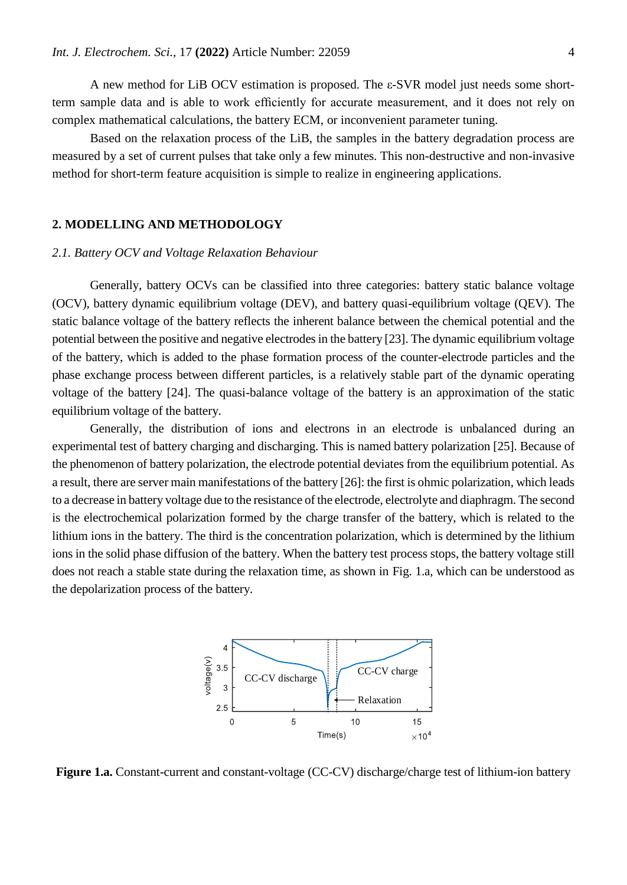A new method for LiB OCV estimation is proposed. The ε-SVR model just needs some shortterm sample data and is able to work efficiently for accurate measurement, and it does not rely on complex mathematical calculations, the battery ECM, or inconvenient parameter tuning.

Based on the relaxation process of the LiB, the samples in the battery degradation process are measured by a set of current pulses that take only a few minutes. This non-destructive and non-invasive method for short-term feature acquisition is simple to realize in engineering applications.

## **2. MODELLING AND METHODOLOGY**

### *2.1. Battery OCV and Voltage Relaxation Behaviour*

Generally, battery OCVs can be classified into three categories: battery static balance voltage (OCV), battery dynamic equilibrium voltage (DEV), and battery quasi-equilibrium voltage (QEV). The static balance voltage of the battery reflects the inherent balance between the chemical potential and the potential between the positive and negative electrodes in the battery [23]. The dynamic equilibrium voltage of the battery, which is added to the phase formation process of the counter-electrode particles and the phase exchange process between different particles, is a relatively stable part of the dynamic operating voltage of the battery [24]. The quasi-balance voltage of the battery is an approximation of the static equilibrium voltage of the battery.

Generally, the distribution of ions and electrons in an electrode is unbalanced during an experimental test of battery charging and discharging. This is named battery polarization [25]. Because of the phenomenon of battery polarization, the electrode potential deviates from the equilibrium potential. As a result, there are server main manifestations of the battery [26]: the first is ohmic polarization, which leads to a decrease in battery voltage due to the resistance of the electrode, electrolyte and diaphragm. The second is the electrochemical polarization formed by the charge transfer of the battery, which is related to the lithium ions in the battery. The third is the concentration polarization, which is determined by the lithium ions in the solid phase diffusion of the battery. When the battery test process stops, the battery voltage still does not reach a stable state during the relaxation time, as shown in Fig. 1.a, which can be understood as the depolarization process of the battery.



**Figure 1.a.** Constant-current and constant-voltage (CC-CV) discharge/charge test of lithium-ion battery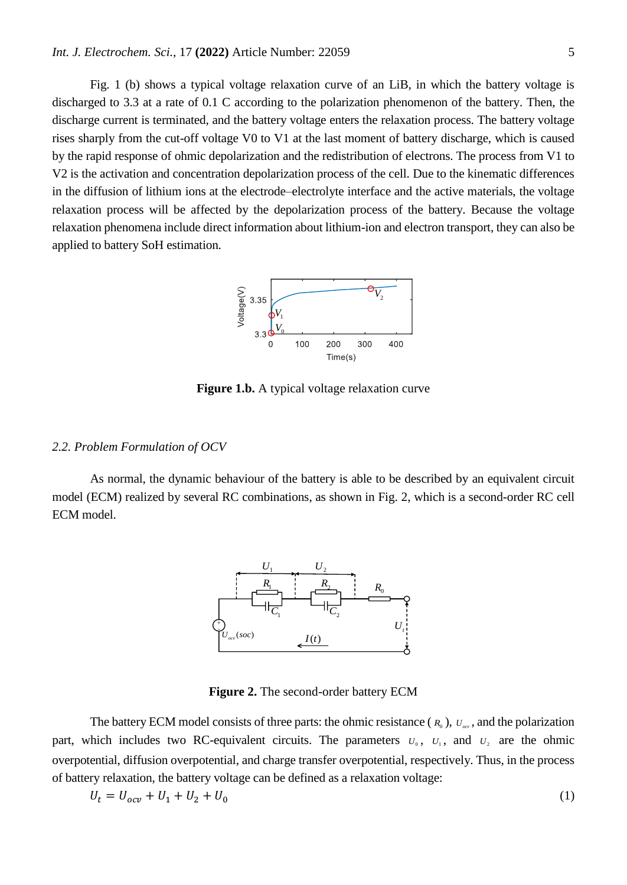Fig. 1 (b) shows a typical voltage relaxation curve of an LiB, in which the battery voltage is discharged to 3.3 at a rate of 0.1 C according to the polarization phenomenon of the battery. Then, the discharge current is terminated, and the battery voltage enters the relaxation process. The battery voltage rises sharply from the cut-off voltage V0 to V1 at the last moment of battery discharge, which is caused by the rapid response of ohmic depolarization and the redistribution of electrons. The process from V1 to V2 is the activation and concentration depolarization process of the cell. Due to the kinematic differences in the diffusion of lithium ions at the electrode–electrolyte interface and the active materials, the voltage relaxation process will be affected by the depolarization process of the battery. Because the voltage relaxation phenomena include direct information about lithium-ion and electron transport, they can also be applied to battery SoH estimation.



**Figure 1.b.** A typical voltage relaxation curve

#### *2.2. Problem Formulation of OCV*

As normal, the dynamic behaviour of the battery is able to be described by an equivalent circuit model (ECM) realized by several RC combinations, as shown in Fig. 2, which is a second-order RC cell ECM model.



**Figure 2.** The second-order battery ECM

The battery ECM model consists of three parts: the ohmic resistance  $(R_0)$ ,  $U_{\text{av}}$ , and the polarization part, which includes two RC-equivalent circuits. The parameters  $U_0$ ,  $U_1$ , and  $U_2$  are the ohmic overpotential, diffusion overpotential, and charge transfer overpotential, respectively. Thus, in the process of battery relaxation, the battery voltage can be defined as a relaxation voltage:

$$
U_t = U_{ocv} + U_1 + U_2 + U_0 \tag{1}
$$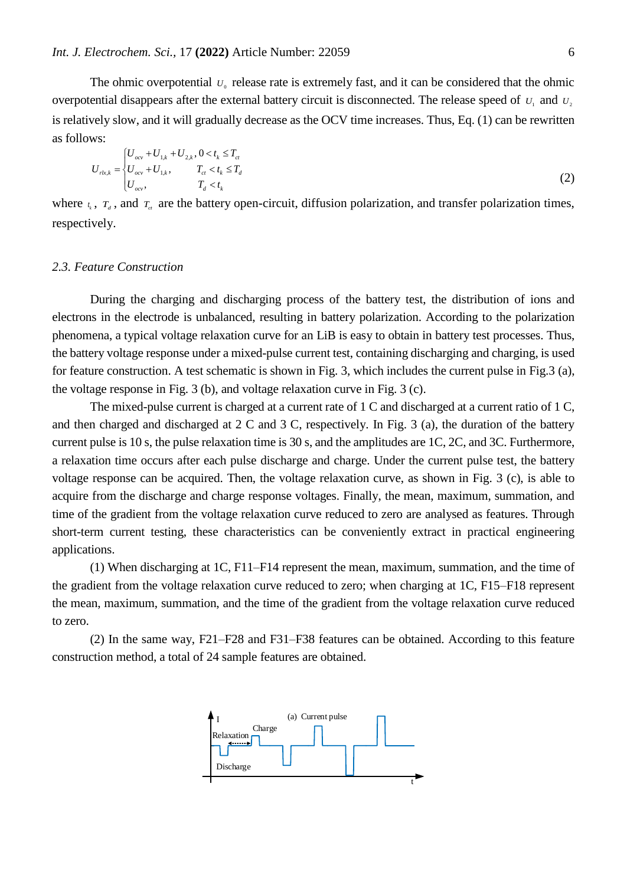The ohmic overpotential  $U_0$  release rate is extremely fast, and it can be considered that the ohmic overpotential disappears after the external battery circuit is disconnected. The release speed of  $U_1$  and  $U_2$ is relatively slow, and it will gradually decrease as the OCV time increases. Thus, Eq. (1) can be rewritten as follows:

$$
U_{rk,k} = \begin{cases} U_{ocv} + U_{1,k} + U_{2,k}, & 0 < t_k \le T_{cr} \\ U_{ocv} + U_{1,k}, & T_{cr} < t_k \le T_d \\ U_{ocv}, & T_d < t_k \end{cases}
$$
(2)

where  $t_k$ ,  $T_d$ , and  $T_d$  are the battery open-circuit, diffusion polarization, and transfer polarization times, respectively.

#### *2.3. Feature Construction*

During the charging and discharging process of the battery test, the distribution of ions and electrons in the electrode is unbalanced, resulting in battery polarization. According to the polarization phenomena, a typical voltage relaxation curve for an LiB is easy to obtain in battery test processes. Thus, the battery voltage response under a mixed-pulse current test, containing discharging and charging, is used for feature construction. A test schematic is shown in Fig. 3, which includes the current pulse in Fig.3 (a), the voltage response in Fig. 3 (b), and voltage relaxation curve in Fig. 3 (c).

The mixed-pulse current is charged at a current rate of 1 C and discharged at a current ratio of 1 C, and then charged and discharged at 2 C and 3 C, respectively. In Fig. 3 (a), the duration of the battery current pulse is 10 s, the pulse relaxation time is 30 s, and the amplitudes are 1C, 2C, and 3C. Furthermore, a relaxation time occurs after each pulse discharge and charge. Under the current pulse test, the battery voltage response can be acquired. Then, the voltage relaxation curve, as shown in Fig. 3 (c), is able to acquire from the discharge and charge response voltages. Finally, the mean, maximum, summation, and time of the gradient from the voltage relaxation curve reduced to zero are analysed as features. Through short-term current testing, these characteristics can be conveniently extract in practical engineering applications.

(1) When discharging at 1C, F11–F14 represent the mean, maximum, summation, and the time of the gradient from the voltage relaxation curve reduced to zero; when charging at 1C, F15–F18 represent the mean, maximum, summation, and the time of the gradient from the voltage relaxation curve reduced to zero.

(2) In the same way, F21–F28 and F31–F38 features can be obtained. According to this feature construction method, a total of 24 sample features are obtained.

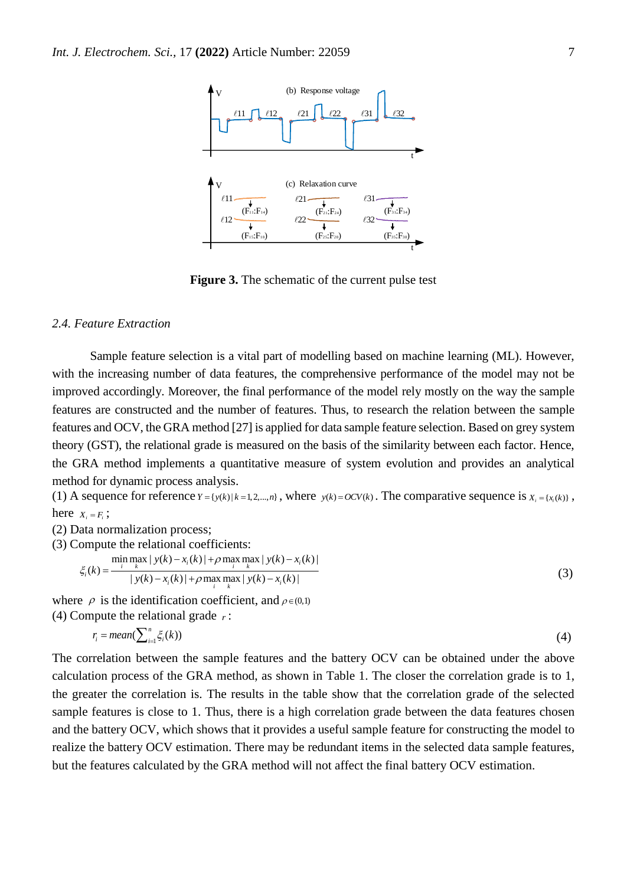

**Figure 3.** The schematic of the current pulse test

#### *2.4. Feature Extraction*

Sample feature selection is a vital part of modelling based on machine learning (ML). However, with the increasing number of data features, the comprehensive performance of the model may not be improved accordingly. Moreover, the final performance of the model rely mostly on the way the sample features are constructed and the number of features. Thus, to research the relation between the sample features and OCV, the GRA method [27] is applied for data sample feature selection. Based on grey system theory (GST), the relational grade is measured on the basis of the similarity between each factor. Hence, the GRA method implements a quantitative measure of system evolution and provides an analytical method for dynamic process analysis.

(1) A sequence for reference  $Y = \{y(k) | k = 1, 2, ..., n\}$ , where  $y(k) = OCV(k)$ . The comparative sequence is  $X_i = \{x_i(k)\}\,$ , here  $X_i = F_i$ ;

(2) Data normalization process;

(3) Compute the relational coefficients:  
\n
$$
\lim_{\xi_i(k) = \frac{\min_{i} \max_{k} |y(k) - x_i(k)| + \rho \max_{i} \max_{k} |y(k) - x_i(k)|}{|y(k) - x_i(k)| + \rho \max_{i} \max_{k} |y(k) - x_i(k)|}
$$
\n(3)

where  $\rho$  is the identification coefficient, and  $\rho \in (0,1)$ (4) Compute the relational grade *r* :

$$
r_i = mean(\sum_{i=1}^n \xi_i(k))
$$
\n<sup>(4)</sup>

The correlation between the sample features and the battery OCV can be obtained under the above calculation process of the GRA method, as shown in Table 1. The closer the correlation grade is to 1, the greater the correlation is. The results in the table show that the correlation grade of the selected sample features is close to 1. Thus, there is a high correlation grade between the data features chosen and the battery OCV, which shows that it provides a useful sample feature for constructing the model to realize the battery OCV estimation. There may be redundant items in the selected data sample features, but the features calculated by the GRA method will not affect the final battery OCV estimation.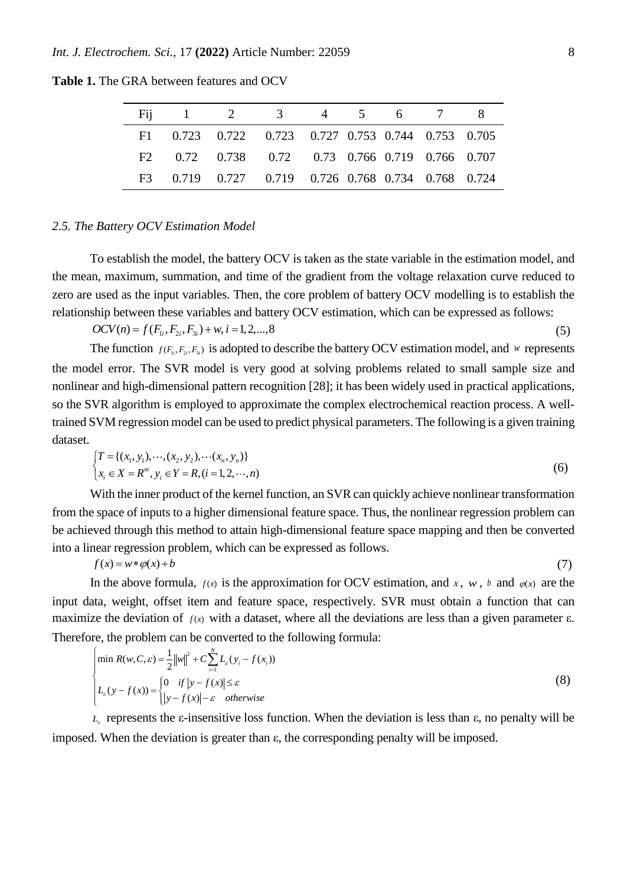|  | Fij 1 2 3 4 5 6 7 8                                |  |  |  |
|--|----------------------------------------------------|--|--|--|
|  | F1 0.723 0.722 0.723 0.727 0.753 0.744 0.753 0.705 |  |  |  |
|  | F2 0.72 0.738 0.72 0.73 0.766 0.719 0.766 0.707    |  |  |  |
|  | F3 0.719 0.727 0.719 0.726 0.768 0.734 0.768 0.724 |  |  |  |

**Table 1.** The GRA between features and OCV

### *2.5. The Battery OCV Estimation Model*

To establish the model, the battery OCV is taken as the state variable in the estimation model, and the mean, maximum, summation, and time of the gradient from the voltage relaxation curve reduced to zero are used as the input variables. Then, the core problem of battery OCV modelling is to establish the relationship between these variables and battery OCV estimation, which can be expressed as follows:

 $OCV(n) = f(F_{i_1}, F_{2i}, F_{3i}) + w, i = 1, 2, \dots, 8$  (5)

The function  $f(F_1, F_2, F_3)$  is adopted to describe the battery OCV estimation model, and w represents the model error. The SVR model is very good at solving problems related to small sample size and nonlinear and high-dimensional pattern recognition [28]; it has been widely used in practical applications, so the SVR algorithm is employed to approximate the complex electrochemical reaction process. A welltrained SVM regression model can be used to predict physical parameters. The following is a given training dataset.

$$
\begin{cases}\nT = \{(x_1, y_1), \dots, (x_2, y_2), \dots (x_n, y_n)\} \\
x_i \in X = R^m, y_i \in Y = R, (i = 1, 2, \dots, n)\n\end{cases}
$$
\n(6)

With the inner product of the kernel function, an SVR can quickly achieve nonlinear transformation from the space of inputs to a higher dimensional feature space. Thus, the nonlinear regression problem can be achieved through this method to attain high-dimensional feature space mapping and then be converted into a linear regression problem, which can be expressed as follows.

$$
f(x) = w * \varphi(x) + b \tag{7}
$$

In the above formula,  $f(x)$  is the approximation for OCV estimation, and  $x$ ,  $w$ ,  $b$  and  $\varphi(x)$  are the input data, weight, offset item and feature space, respectively. SVR must obtain a function that can maximize the deviation of  $f(x)$  with a dataset, where all the deviations are less than a given parameter  $\varepsilon$ . Therefore, the problem can be converted to the following formula:

$$
\begin{cases}\n\min R(w, C, \varepsilon) = \frac{1}{2} ||w||^2 + C \sum_{i=1}^N L_{\varepsilon}(y_i - f(x_i)) \\
L_{\varepsilon}(y - f(x)) = \begin{cases}\n0 & \text{if } |y - f(x)| \le \varepsilon \\
|y - f(x)| - \varepsilon & \text{otherwise}\n\end{cases}\n\end{cases}
$$
\n(8)

 $L<sub>ε</sub>$  represents the  $ε$ -insensitive loss function. When the deviation is less than  $ε$ , no penalty will be imposed. When the deviation is greater than ε, the corresponding penalty will be imposed.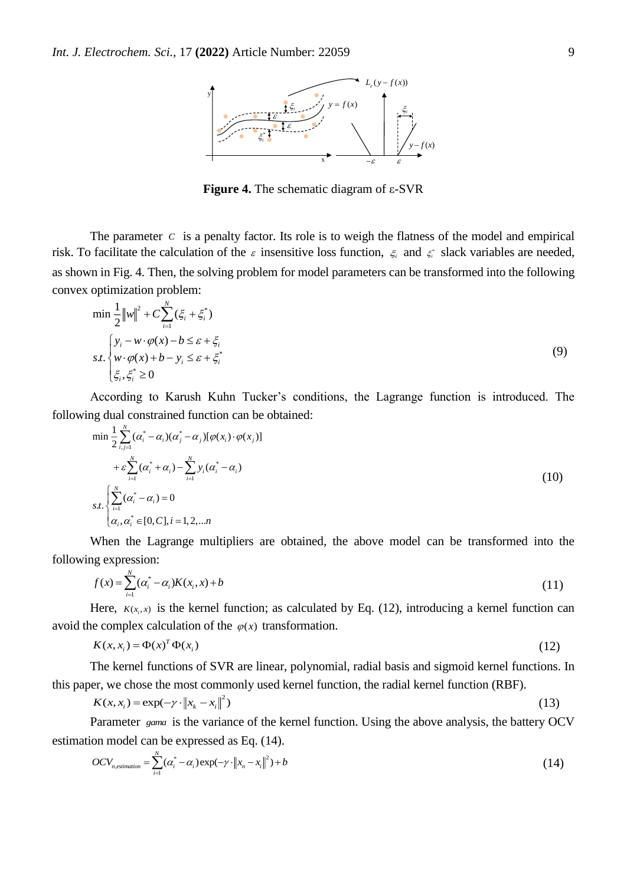

**Figure 4.** The schematic diagram of ε-SVR

The parameter  $C$  is a penalty factor. Its role is to weigh the flatness of the model and empirical risk. To facilitate the calculation of the  $\varepsilon$  insensitive loss function,  $\xi$  and  $\xi$  slack variables are needed, as shown in Fig. 4. Then, the solving problem for model parameters can be transformed into the following convex optimization problem:

$$
\min \frac{1}{2} ||w||^2 + C \sum_{i=1}^{N} (\xi_i + \xi_i^*)
$$
\n
$$
s.t. \begin{cases} y_i - w \cdot \varphi(x) - b \le \varepsilon + \xi_i \\ w \cdot \varphi(x) + b - y_i \le \varepsilon + \xi_i^* \\ \xi_i, \xi_i^* \ge 0 \end{cases} \tag{9}
$$

According to Karush Kuhn Tucker's conditions, the Lagrange function is introduced. The following dual constrained function can be obtained:

$$
\min \frac{1}{2} \sum_{i,j=1}^{N} (\alpha_i^* - \alpha_i)(\alpha_j^* - \alpha_j)[\varphi(x_i) \cdot \varphi(x_j)] + \varepsilon \sum_{i=1}^{N} (\alpha_i^* + \alpha_i) - \sum_{i=1}^{N} y_i(\alpha_i^* - \alpha_i) s.t. \begin{cases} \sum_{i=1}^{N} (\alpha_i^* - \alpha_i) = 0 \\ \alpha_i, \alpha_i^* \in [0, C], i = 1, 2, \dots n \end{cases}
$$
(10)

When the Lagrange multipliers are obtained, the above model can be transformed into the following expression:

$$
f(x) = \sum_{i=1}^{N} (\alpha_i^* - \alpha_i) K(x_i, x) + b
$$
 (11)

Here,  $K(x_i, x)$  is the kernel function; as calculated by Eq. (12), introducing a kernel function can avoid the complex calculation of the  $\varphi(x)$  transformation.

$$
K(x, x_i) = \Phi(x)^T \Phi(x_i)
$$
\n(12)

The kernel functions of SVR are linear, polynomial, radial basis and sigmoid kernel functions. In this paper, we chose the most commonly used kernel function, the radial kernel function (RBF).

$$
K(x, x_i) = \exp(-\gamma \cdot ||x_k - x_i||^2) \tag{13}
$$

Parameter <sub>gama</sub> is the variance of the kernel function. Using the above analysis, the battery OCV estimation model can be expressed as Eq. (14).

$$
OCV_{n,estimation} = \sum_{i=1}^{N} (\alpha_i^* - \alpha_i) \exp(-\gamma \cdot ||x_n - x_i||^2) + b \tag{14}
$$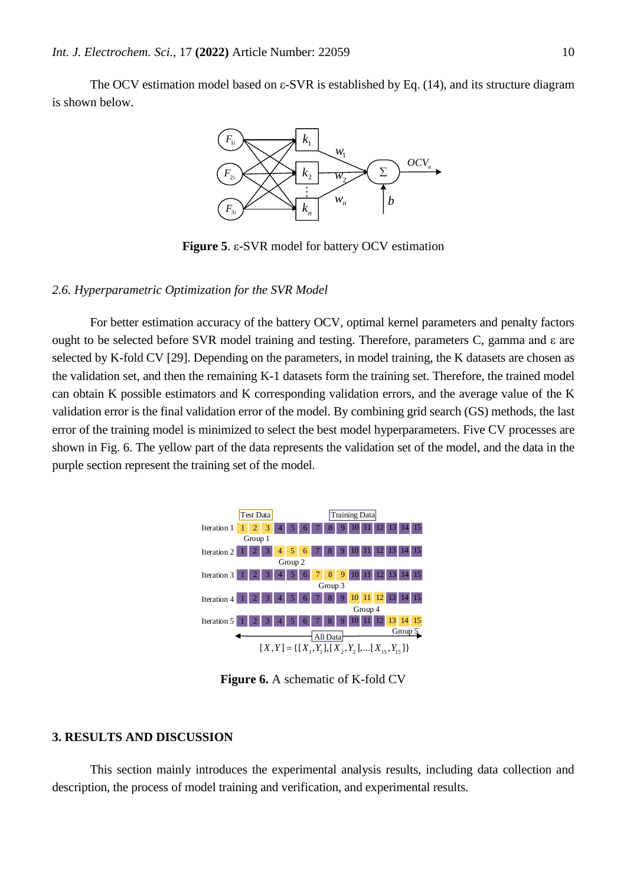The OCV estimation model based on  $\varepsilon$ -SVR is established by Eq. (14), and its structure diagram is shown below.



**Figure 5**. ε-SVR model for battery OCV estimation

## *2.6. Hyperparametric Optimization for the SVR Model*

For better estimation accuracy of the battery OCV, optimal kernel parameters and penalty factors ought to be selected before SVR model training and testing. Therefore, parameters C, gamma and ε are selected by K-fold CV [29]. Depending on the parameters, in model training, the K datasets are chosen as the validation set, and then the remaining K-1 datasets form the training set. Therefore, the trained model can obtain K possible estimators and K corresponding validation errors, and the average value of the K validation error is the final validation error of the model. By combining grid search (GS) methods, the last error of the training model is minimized to select the best model hyperparameters. Five CV processes are shown in Fig. 6. The yellow part of the data represents the validation set of the model, and the data in the purple section represent the training set of the model.



**Figure 6.** A schematic of K-fold CV

#### **3. RESULTS AND DISCUSSION**

This section mainly introduces the experimental analysis results, including data collection and description, the process of model training and verification, and experimental results.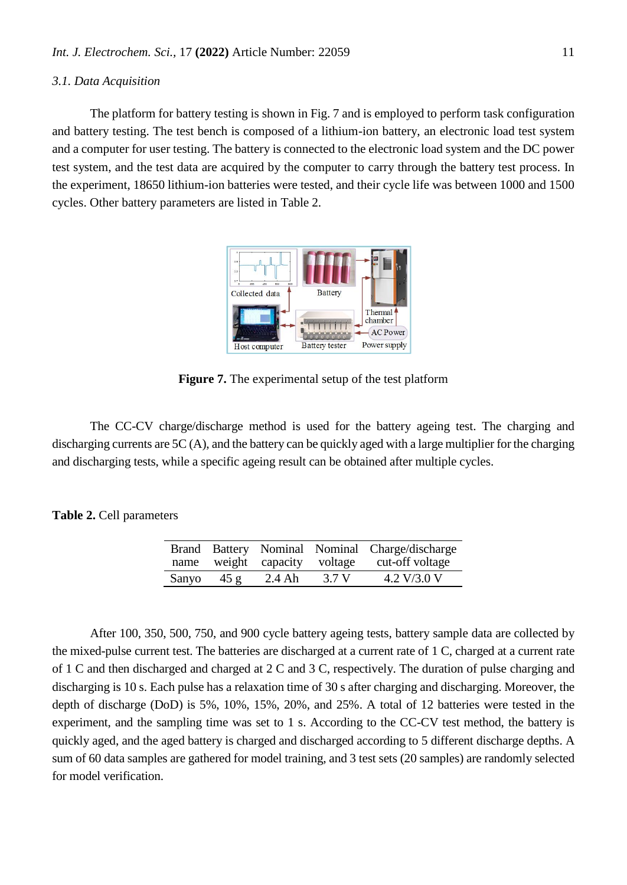## *3.1. Data Acquisition*

The platform for battery testing is shown in Fig. 7 and is employed to perform task configuration and battery testing. The test bench is composed of a lithium-ion battery, an electronic load test system and a computer for user testing. The battery is connected to the electronic load system and the DC power test system, and the test data are acquired by the computer to carry through the battery test process. In the experiment, 18650 lithium-ion batteries were tested, and their cycle life was between 1000 and 1500 cycles. Other battery parameters are listed in Table 2.



**Figure 7.** The experimental setup of the test platform

The CC-CV charge/discharge method is used for the battery ageing test. The charging and discharging currents are 5C (A), and the battery can be quickly aged with a large multiplier for the charging and discharging tests, while a specific ageing result can be obtained after multiple cycles.

## **Table 2.** Cell parameters

|       |      | name weight capacity voltage |       | Brand Battery Nominal Nominal Charge/discharge<br>cut-off voltage |
|-------|------|------------------------------|-------|-------------------------------------------------------------------|
| Sanyo | 45 g | $2.4 \text{ Ah}$             | 3.7 V | 4.2 V/3.0 V                                                       |

After 100, 350, 500, 750, and 900 cycle battery ageing tests, battery sample data are collected by the mixed-pulse current test. The batteries are discharged at a current rate of 1 C, charged at a current rate of 1 C and then discharged and charged at 2 C and 3 C, respectively. The duration of pulse charging and discharging is 10 s. Each pulse has a relaxation time of 30 s after charging and discharging. Moreover, the depth of discharge (DoD) is 5%, 10%, 15%, 20%, and 25%. A total of 12 batteries were tested in the experiment, and the sampling time was set to 1 s. According to the CC-CV test method, the battery is quickly aged, and the aged battery is charged and discharged according to 5 different discharge depths. A sum of 60 data samples are gathered for model training, and 3 test sets (20 samples) are randomly selected for model verification.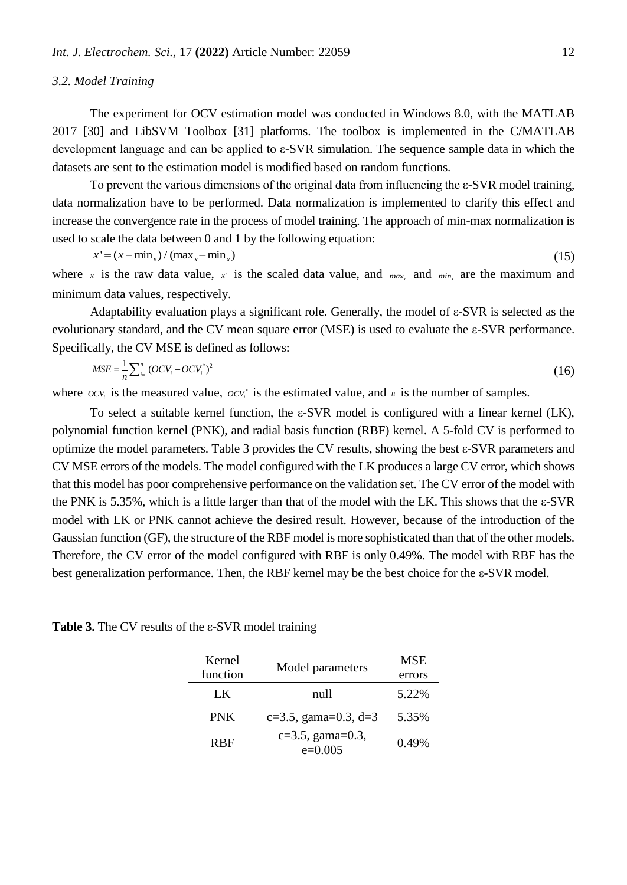## *3.2. Model Training*

The experiment for OCV estimation model was conducted in Windows 8.0, with the MATLAB 2017 [30] and LibSVM Toolbox [31] platforms. The toolbox is implemented in the C/MATLAB development language and can be applied to ε-SVR simulation. The sequence sample data in which the datasets are sent to the estimation model is modified based on random functions.

To prevent the various dimensions of the original data from influencing the ε-SVR model training, data normalization have to be performed. Data normalization is implemented to clarify this effect and increase the convergence rate in the process of model training. The approach of min-max normalization is used to scale the data between 0 and 1 by the following equation:

$$
x' = (x - \min_x) / (\max_x - \min_x) \tag{15}
$$

where x is the raw data value, x is the scaled data value, and  $_{max_x}$  and  $_{min_x}$  are the maximum and minimum data values, respectively.

Adaptability evaluation plays a significant role. Generally, the model of ε-SVR is selected as the evolutionary standard, and the CV mean square error (MSE) is used to evaluate the ε-SVR performance. Specifically, the CV MSE is defined as follows:

$$
MSE = \frac{1}{n} \sum_{i=1}^{n} (OCV_i - OCV_i^*)^2
$$
 (16)

where  $ocv_i$  is the measured value,  $ocv_i$  is the estimated value, and *n* is the number of samples.

To select a suitable kernel function, the ε-SVR model is configured with a linear kernel (LK), polynomial function kernel (PNK), and radial basis function (RBF) kernel. A 5-fold CV is performed to optimize the model parameters. Table 3 provides the CV results, showing the best ε-SVR parameters and CV MSE errors of the models. The model configured with the LK produces a large CV error, which shows that this model has poor comprehensive performance on the validation set. The CV error of the model with the PNK is 5.35%, which is a little larger than that of the model with the LK. This shows that the ε-SVR model with LK or PNK cannot achieve the desired result. However, because of the introduction of the Gaussian function (GF), the structure of the RBF model is more sophisticated than that of the other models. Therefore, the CV error of the model configured with RBF is only 0.49%. The model with RBF has the best generalization performance. Then, the RBF kernel may be the best choice for the ε-SVR model.

**Table 3.** The CV results of the ε-SVR model training

| Kernel                |                                  | <b>MSE</b> |
|-----------------------|----------------------------------|------------|
| function              | Model parameters                 | errors     |
| LK                    | null                             | 5.22%      |
| <b>PNK</b>            | $c=3.5$ , gama=0.3, d=3          | 5.35%      |
| <b>R</b> <sub>R</sub> | $c=3.5$ , gama=0.3,<br>$e=0.005$ | 0.49%      |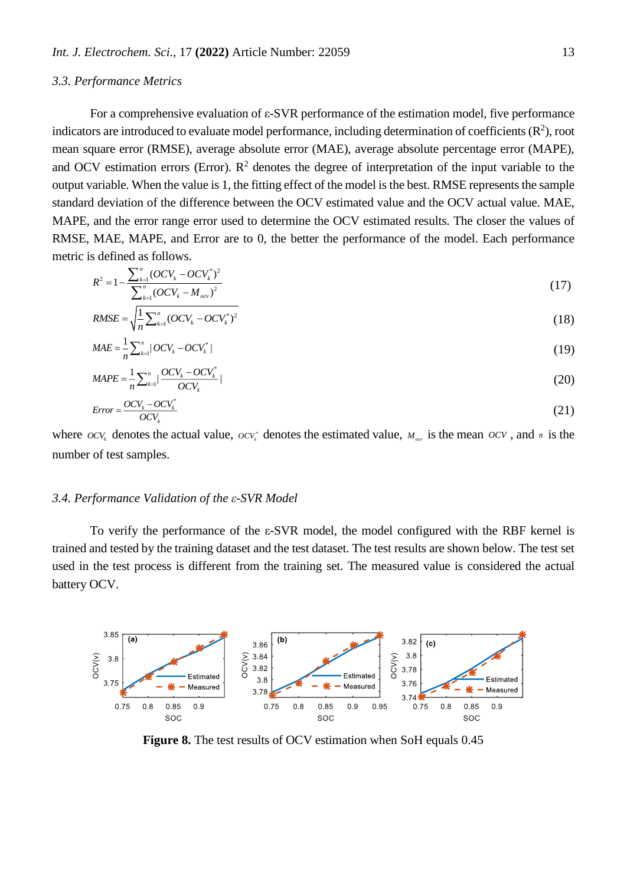## *3.3. Performance Metrics*

For a comprehensive evaluation of ε-SVR performance of the estimation model, five performance indicators are introduced to evaluate model performance, including determination of coefficients  $(\mathbb{R}^2)$ , root mean square error (RMSE), average absolute error (MAE), average absolute percentage error (MAPE), and OCV estimation errors (Error).  $\mathbb{R}^2$  denotes the degree of interpretation of the input variable to the output variable. When the value is 1, the fitting effect of the model is the best. RMSE represents the sample standard deviation of the difference between the OCV estimated value and the OCV actual value. MAE, MAPE, and the error range error used to determine the OCV estimated results. The closer the values of RMSE, MAE, MAPE, and Error are to 0, the better the performance of the model. Each performance metric is defined as follows.

$$
R^{2} = 1 - \frac{\sum_{k=1}^{n} (OCV_{k} - OCV_{k}^{*})^{2}}{\sum_{k=1}^{n} (OCV_{k} - M_{ocv})^{2}}
$$
(17)

$$
RMSE = \sqrt{\frac{1}{n} \sum_{k=1}^{n} (OCV_k - OCV_k^*)^2}
$$
 (18)

$$
MAE = \frac{1}{n} \sum_{k=1}^{n} |OCV_k - OCV_k^*|
$$
 (19)

$$
MAPE = \frac{1}{n} \sum_{k=1}^{n} \left| \frac{OCV_k - OCV_k^*}{OCV_k} \right|
$$
\n
$$
(20)
$$

$$
Error = \frac{OCV_k - OCV_k^*}{OCV_k} \tag{21}
$$

where  $OCV_k$  denotes the actual value,  $OCV_k^*$  denotes the estimated value,  $M_{ocv}$  is the mean  $OCV$ , and *n* is the number of test samples.

## *3.4. Performance Validation of the ε-SVR Model*

To verify the performance of the ε-SVR model, the model configured with the RBF kernel is trained and tested by the training dataset and the test dataset. The test results are shown below. The test set used in the test process is different from the training set. The measured value is considered the actual battery OCV.



**Figure 8.** The test results of OCV estimation when SoH equals 0.45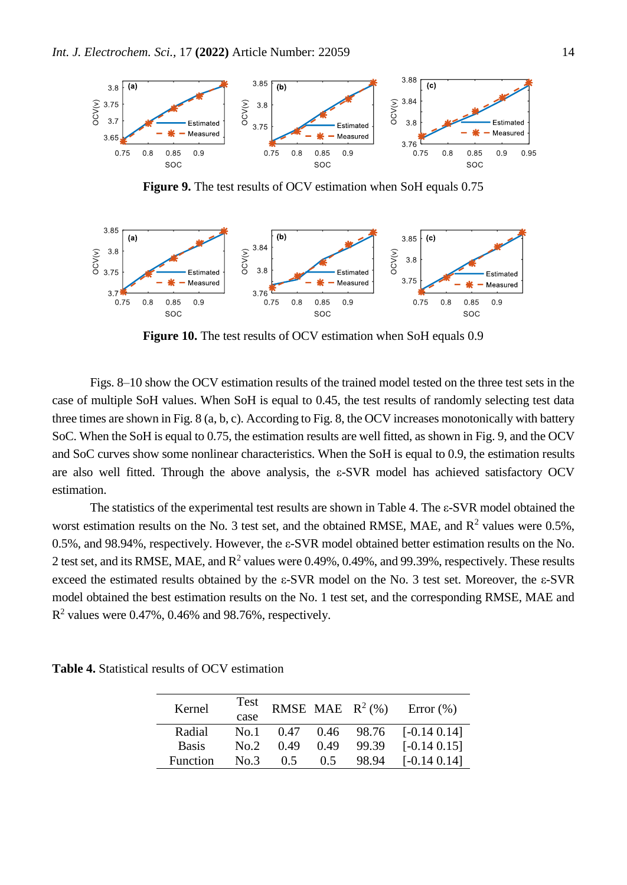

**Figure 9.** The test results of OCV estimation when SoH equals 0.75



**Figure 10.** The test results of OCV estimation when SoH equals 0.9

Figs. 8–10 show the OCV estimation results of the trained model tested on the three test sets in the case of multiple SoH values. When SoH is equal to 0.45, the test results of randomly selecting test data three times are shown in Fig. 8 (a, b, c). According to Fig. 8, the OCV increases monotonically with battery SoC. When the SoH is equal to 0.75, the estimation results are well fitted, as shown in Fig. 9, and the OCV and SoC curves show some nonlinear characteristics. When the SoH is equal to 0.9, the estimation results are also well fitted. Through the above analysis, the ε-SVR model has achieved satisfactory OCV estimation.

The statistics of the experimental test results are shown in Table 4. The ε-SVR model obtained the worst estimation results on the No. 3 test set, and the obtained RMSE, MAE, and  $R^2$  values were 0.5%, 0.5%, and 98.94%, respectively. However, the ε-SVR model obtained better estimation results on the No. 2 test set, and its RMSE, MAE, and  $R^2$  values were 0.49%, 0.49%, and 99.39%, respectively. These results exceed the estimated results obtained by the ε-SVR model on the No. 3 test set. Moreover, the ε-SVR model obtained the best estimation results on the No. 1 test set, and the corresponding RMSE, MAE and  $R<sup>2</sup>$  values were 0.47%, 0.46% and 98.76%, respectively.

| Kernel       | Test<br>case |      |      | <b>RMSE MAE</b> $R^2$ (%) | Error $(\%)$    |
|--------------|--------------|------|------|---------------------------|-----------------|
| Radial       | No.1         | 0.47 | 0.46 | 98.76                     | $[-0.14\ 0.14]$ |
| <b>Basis</b> | No.2         | 0.49 | 0.49 | 99.39                     | $[-0.14\ 0.15]$ |
| Function     | No.3         | 0.5  | 0.5  | 98.94                     | $[-0.14\ 0.14]$ |

**Table 4.** Statistical results of OCV estimation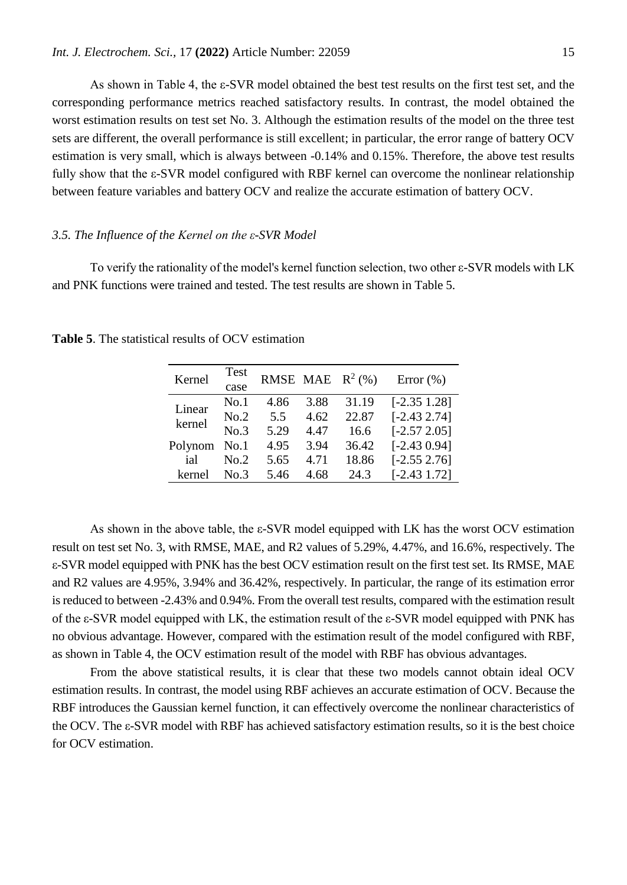As shown in Table 4, the ε-SVR model obtained the best test results on the first test set, and the corresponding performance metrics reached satisfactory results. In contrast, the model obtained the worst estimation results on test set No. 3. Although the estimation results of the model on the three test sets are different, the overall performance is still excellent; in particular, the error range of battery OCV estimation is very small, which is always between -0.14% and 0.15%. Therefore, the above test results fully show that the ε-SVR model configured with RBF kernel can overcome the nonlinear relationship between feature variables and battery OCV and realize the accurate estimation of battery OCV.

## *3.5. The Influence of the Kernel on the ε-SVR Model*

To verify the rationality of the model's kernel function selection, two other ε-SVR models with LK and PNK functions were trained and tested. The test results are shown in Table 5.

| Kernel  | Test<br>case |      |      | <b>RMSE MAE</b> $R^2$ (%) | Error $(\% )$     |
|---------|--------------|------|------|---------------------------|-------------------|
| Linear  | No.1         | 4.86 | 3.88 | 31.19                     | $[-2.35 \; 1.28]$ |
| kernel  | No.2         | 5.5  | 4.62 | 22.87                     | $[-2.43 2.74]$    |
|         | No.3         | 5.29 | 4.47 | 16.6                      | $[-2.57 2.05]$    |
| Polynom | No.1         | 4.95 | 3.94 | 36.42                     | $[-2.430.94]$     |
| ial     | No.2         | 5.65 | 4.71 | 18.86                     | $[-2.55 2.76]$    |
| kernel  | No 3         | 5.46 | 4.68 | 24.3                      | $[-2.43 1.72]$    |

**Table 5**. The statistical results of OCV estimation

As shown in the above table, the ε-SVR model equipped with LK has the worst OCV estimation result on test set No. 3, with RMSE, MAE, and R2 values of 5.29%, 4.47%, and 16.6%, respectively. The ε-SVR model equipped with PNK has the best OCV estimation result on the first test set. Its RMSE, MAE and R2 values are 4.95%, 3.94% and 36.42%, respectively. In particular, the range of its estimation error is reduced to between -2.43% and 0.94%. From the overall test results, compared with the estimation result of the ε-SVR model equipped with LK, the estimation result of the ε-SVR model equipped with PNK has no obvious advantage. However, compared with the estimation result of the model configured with RBF, as shown in Table 4, the OCV estimation result of the model with RBF has obvious advantages.

From the above statistical results, it is clear that these two models cannot obtain ideal OCV estimation results. In contrast, the model using RBF achieves an accurate estimation of OCV. Because the RBF introduces the Gaussian kernel function, it can effectively overcome the nonlinear characteristics of the OCV. The ε-SVR model with RBF has achieved satisfactory estimation results, so it is the best choice for OCV estimation.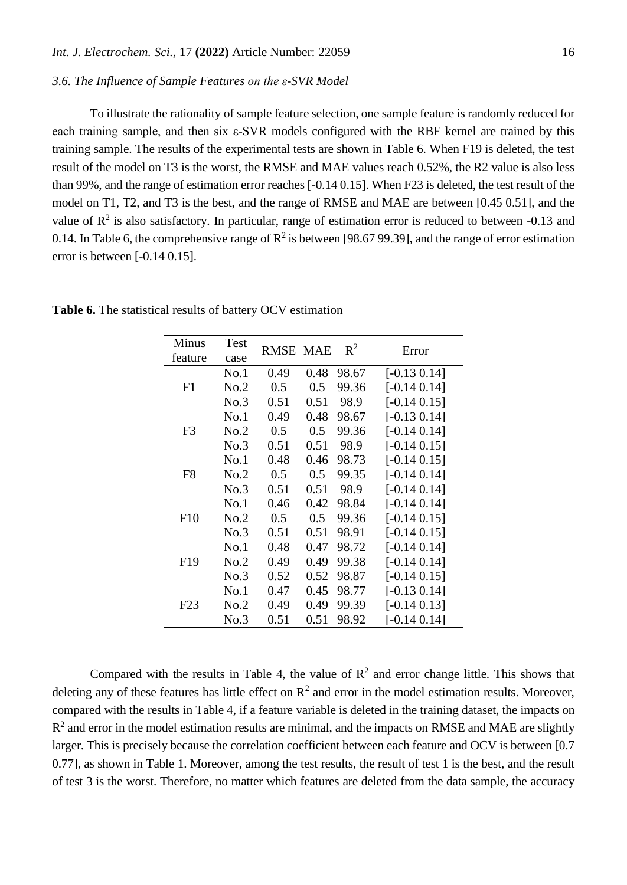# *3.6. The Influence of Sample Features on the ε-SVR Model*

To illustrate the rationality of sample feature selection, one sample feature is randomly reduced for each training sample, and then six ε-SVR models configured with the RBF kernel are trained by this training sample. The results of the experimental tests are shown in Table 6. When F19 is deleted, the test result of the model on T3 is the worst, the RMSE and MAE values reach 0.52%, the R2 value is also less than 99%, and the range of estimation error reaches [-0.14 0.15]. When F23 is deleted, the test result of the model on T1, T2, and T3 is the best, and the range of RMSE and MAE are between [0.45 0.51], and the value of  $\mathbb{R}^2$  is also satisfactory. In particular, range of estimation error is reduced to between -0.13 and 0.14. In Table 6, the comprehensive range of  $\mathbb{R}^2$  is between [98.67 99.39], and the range of error estimation error is between [-0.14 0.15].

| <b>Minus</b><br>feature | <b>Test</b><br>case | <b>RMSE MAE</b> |      | $R^2$ | Error           |
|-------------------------|---------------------|-----------------|------|-------|-----------------|
|                         | No.1                | 0.49            | 0.48 | 98.67 | $[-0.13\ 0.14]$ |
| F1                      | No.2                | 0.5             | 0.5  | 99.36 | $[-0.14\ 0.14]$ |
|                         | No.3                | 0.51            | 0.51 | 98.9  | $[-0.14\ 0.15]$ |
|                         | No.1                | 0.49            | 0.48 | 98.67 | $[-0.13\ 0.14]$ |
| F <sub>3</sub>          | No.2                | 0.5             | 0.5  | 99.36 | $[-0.14\ 0.14]$ |
|                         | No.3                | 0.51            | 0.51 | 98.9  | $[-0.14\ 0.15]$ |
|                         | No.1                | 0.48            | 0.46 | 98.73 | $[-0.14\ 0.15]$ |
| F <sub>8</sub>          | No.2                | 0.5             | 0.5  | 99.35 | $[-0.14\ 0.14]$ |
|                         | No.3                | 0.51            | 0.51 | 98.9  | $[-0.14\ 0.14]$ |
|                         | No.1                | 0.46            | 0.42 | 98.84 | $[-0.14\ 0.14]$ |
| F10                     | No.2                | 0.5             | 0.5  | 99.36 | $[-0.14\ 0.15]$ |
|                         | No.3                | 0.51            | 0.51 | 98.91 | $[-0.14\ 0.15]$ |
|                         | No.1                | 0.48            | 0.47 | 98.72 | $[-0.14\ 0.14]$ |
| F <sub>19</sub>         | No.2                | 0.49            | 0.49 | 99.38 | $[-0.14\ 0.14]$ |
|                         | No.3                | 0.52            | 0.52 | 98.87 | $[-0.14\ 0.15]$ |
|                         | No.1                | 0.47            | 0.45 | 98.77 | $[-0.13\ 0.14]$ |
| F <sub>23</sub>         | No.2                | 0.49            | 0.49 | 99.39 | $[-0.14\ 0.13]$ |
|                         | No.3                | 0.51            | 0.51 | 98.92 | $[-0.14\ 0.14]$ |

**Table 6.** The statistical results of battery OCV estimation

Compared with the results in Table 4, the value of  $\mathbb{R}^2$  and error change little. This shows that deleting any of these features has little effect on  $\mathbb{R}^2$  and error in the model estimation results. Moreover, compared with the results in Table 4, if a feature variable is deleted in the training dataset, the impacts on  $R<sup>2</sup>$  and error in the model estimation results are minimal, and the impacts on RMSE and MAE are slightly larger. This is precisely because the correlation coefficient between each feature and OCV is between [0.7] 0.77], as shown in Table 1. Moreover, among the test results, the result of test 1 is the best, and the result of test 3 is the worst. Therefore, no matter which features are deleted from the data sample, the accuracy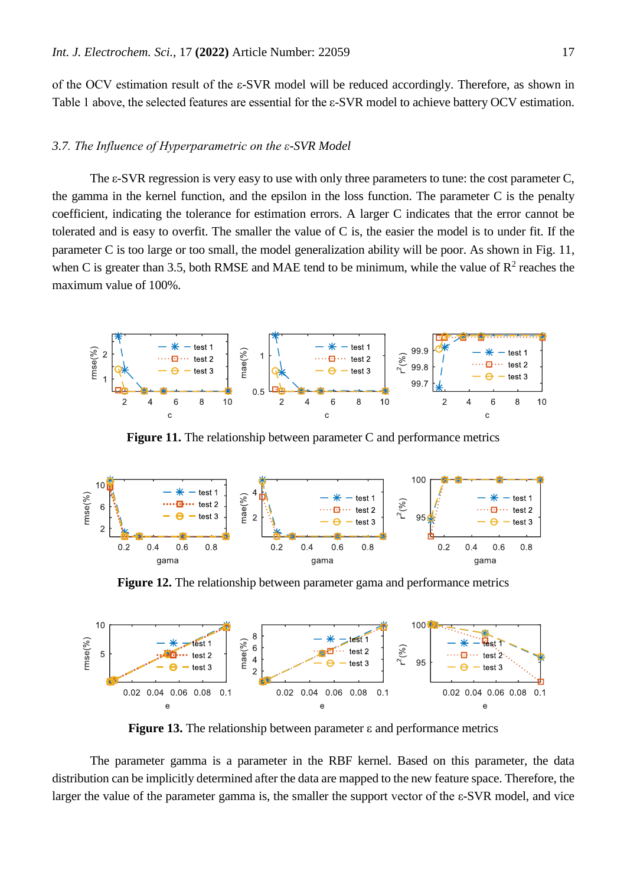of the OCV estimation result of the ε-SVR model will be reduced accordingly. Therefore, as shown in Table 1 above, the selected features are essential for the ε-SVR model to achieve battery OCV estimation.

## *3.7. The Influence of Hyperparametric on the ε-SVR Model*

The ε-SVR regression is very easy to use with only three parameters to tune: the cost parameter C, the gamma in the kernel function, and the epsilon in the loss function. The parameter C is the penalty coefficient, indicating the tolerance for estimation errors. A larger C indicates that the error cannot be tolerated and is easy to overfit. The smaller the value of C is, the easier the model is to under fit. If the parameter C is too large or too small, the model generalization ability will be poor. As shown in Fig. 11, when C is greater than 3.5, both RMSE and MAE tend to be minimum, while the value of  $\mathbb{R}^2$  reaches the maximum value of 100%.



**Figure 11.** The relationship between parameter C and performance metrics



**Figure 12.** The relationship between parameter gama and performance metrics



**Figure 13.** The relationship between parameter ε and performance metrics

The parameter gamma is a parameter in the RBF kernel. Based on this parameter, the data distribution can be implicitly determined after the data are mapped to the new feature space. Therefore, the larger the value of the parameter gamma is, the smaller the support vector of the ε-SVR model, and vice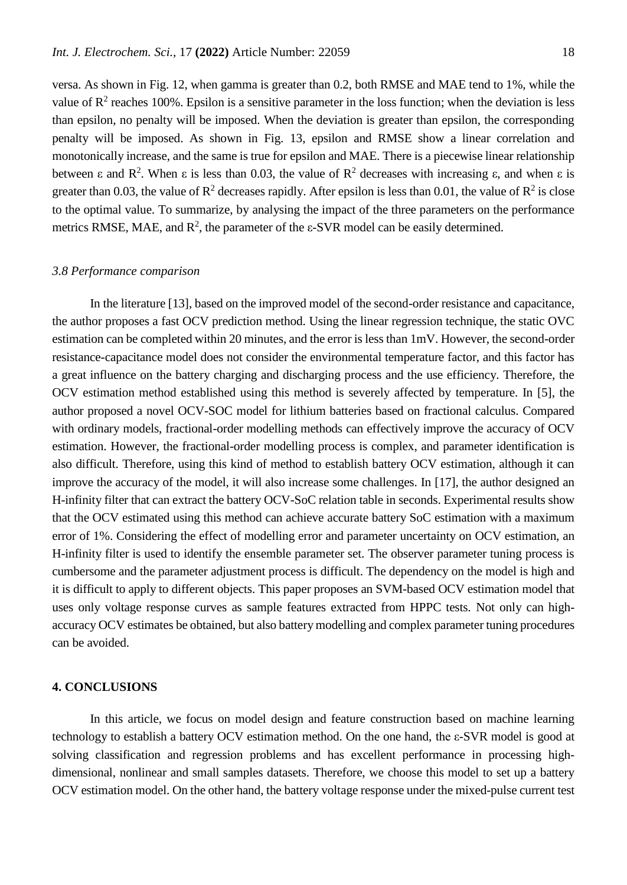versa. As shown in Fig. 12, when gamma is greater than 0.2, both RMSE and MAE tend to 1%, while the value of  $\mathbb{R}^2$  reaches 100%. Epsilon is a sensitive parameter in the loss function; when the deviation is less than epsilon, no penalty will be imposed. When the deviation is greater than epsilon, the corresponding penalty will be imposed. As shown in Fig. 13, epsilon and RMSE show a linear correlation and monotonically increase, and the same is true for epsilon and MAE. There is a piecewise linear relationship between  $\varepsilon$  and  $\mathbb{R}^2$ . When  $\varepsilon$  is less than 0.03, the value of  $\mathbb{R}^2$  decreases with increasing  $\varepsilon$ , and when  $\varepsilon$  is greater than 0.03, the value of  $\mathbb{R}^2$  decreases rapidly. After epsilon is less than 0.01, the value of  $\mathbb{R}^2$  is close to the optimal value. To summarize, by analysing the impact of the three parameters on the performance metrics RMSE, MAE, and  $\mathbb{R}^2$ , the parameter of the  $\varepsilon$ -SVR model can be easily determined.

## *3.8 Performance comparison*

In the literature [13], based on the improved model of the second-order resistance and capacitance, the author proposes a fast OCV prediction method. Using the linear regression technique, the static OVC estimation can be completed within 20 minutes, and the error is less than 1mV. However, the second-order resistance-capacitance model does not consider the environmental temperature factor, and this factor has a great influence on the battery charging and discharging process and the use efficiency. Therefore, the OCV estimation method established using this method is severely affected by temperature. In [5], the author proposed a novel OCV-SOC model for lithium batteries based on fractional calculus. Compared with ordinary models, fractional-order modelling methods can effectively improve the accuracy of OCV estimation. However, the fractional-order modelling process is complex, and parameter identification is also difficult. Therefore, using this kind of method to establish battery OCV estimation, although it can improve the accuracy of the model, it will also increase some challenges. In [17], the author designed an H-infinity filter that can extract the battery OCV-SoC relation table in seconds. Experimental results show that the OCV estimated using this method can achieve accurate battery SoC estimation with a maximum error of 1%. Considering the effect of modelling error and parameter uncertainty on OCV estimation, an H-infinity filter is used to identify the ensemble parameter set. The observer parameter tuning process is cumbersome and the parameter adjustment process is difficult. The dependency on the model is high and it is difficult to apply to different objects. This paper proposes an SVM-based OCV estimation model that uses only voltage response curves as sample features extracted from HPPC tests. Not only can highaccuracy OCV estimates be obtained, but also battery modelling and complex parameter tuning procedures can be avoided.

## **4. CONCLUSIONS**

In this article, we focus on model design and feature construction based on machine learning technology to establish a battery OCV estimation method. On the one hand, the ε-SVR model is good at solving classification and regression problems and has excellent performance in processing highdimensional, nonlinear and small samples datasets. Therefore, we choose this model to set up a battery OCV estimation model. On the other hand, the battery voltage response under the mixed-pulse current test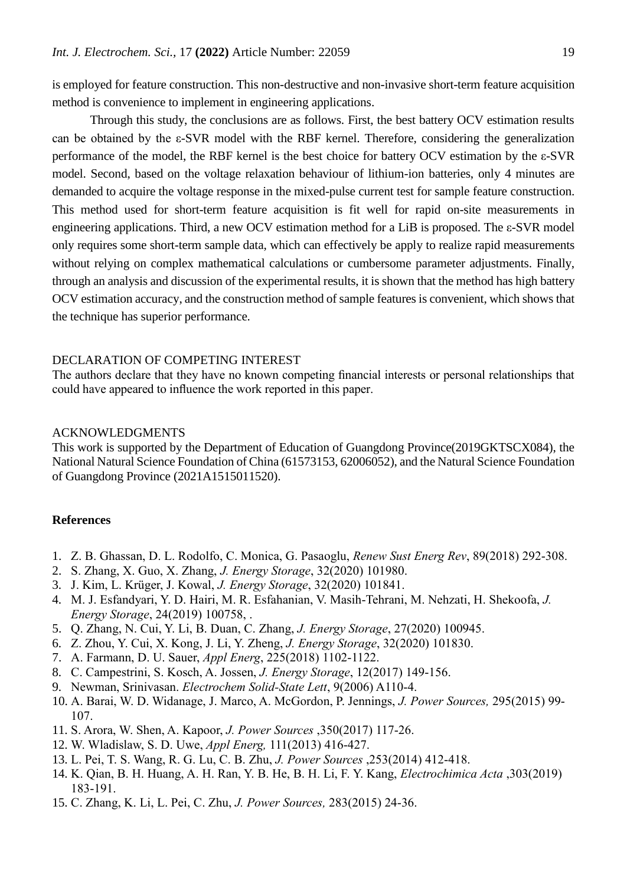is employed for feature construction. This non-destructive and non-invasive short-term feature acquisition method is convenience to implement in engineering applications.

Through this study, the conclusions are as follows. First, the best battery OCV estimation results can be obtained by the ε-SVR model with the RBF kernel. Therefore, considering the generalization performance of the model, the RBF kernel is the best choice for battery OCV estimation by the ε-SVR model. Second, based on the voltage relaxation behaviour of lithium-ion batteries, only 4 minutes are demanded to acquire the voltage response in the mixed-pulse current test for sample feature construction. This method used for short-term feature acquisition is fit well for rapid on-site measurements in engineering applications. Third, a new OCV estimation method for a LiB is proposed. The ε-SVR model only requires some short-term sample data, which can effectively be apply to realize rapid measurements without relying on complex mathematical calculations or cumbersome parameter adjustments. Finally, through an analysis and discussion of the experimental results, it is shown that the method has high battery OCV estimation accuracy, and the construction method of sample features is convenient, which shows that the technique has superior performance.

## DECLARATION OF COMPETING INTEREST

The authors declare that they have no known competing financial interests or personal relationships that could have appeared to influence the work reported in this paper.

# ACKNOWLEDGMENTS

This work is supported by the Department of Education of Guangdong Province(2019GKTSCX084), the National Natural Science Foundation of China (61573153, 62006052), and the Natural Science Foundation of Guangdong Province (2021A1515011520).

## **References**

- 1. Z. B. Ghassan, D. L. Rodolfo, C. Monica, G. Pasaoglu, *Renew Sust Energ Rev*, 89(2018) 292-308.
- 2. S. Zhang, X. Guo, X. Zhang, *J. Energy Storage*, 32(2020) 101980.
- 3. J. Kim, L. Krüger, J. Kowal, *J. Energy Storage*, 32(2020) 101841.
- 4. M. J. Esfandyari, Y. D. Hairi, M. R. Esfahanian, V. Masih-Tehrani, M. Nehzati, H. Shekoofa, *J. Energy Storage*, 24(2019) 100758, [.](https://doi.org/10.1016/j.est.2019.100758)
- 5. Q. Zhang, N. Cui, Y. Li, B. Duan, C. Zhang, *J. Energy Storage*, 27(2020) 100945.
- 6. Z. Zhou, Y. Cui, X. Kong, J. Li, Y. Zheng, *J. Energy Storage*, 32(2020) 101830.
- 7. A. Farmann, D. U. Sauer, *Appl Energ*, 225(2018) 1102-1122.
- 8. C. Campestrini, S. Kosch, A. Jossen, *J. Energy Storage*, 12(2017) 149-156.
- 9. Newman, Srinivasan. *Electrochem Solid-State Lett*, 9(2006) A110-4.
- 10. A. Barai, W. D. Widanage, J. Marco, A. McGordon, P. Jennings, *J. Power Sources,* 295(2015) 99- 107.
- 11. S. Arora, W. Shen, A. Kapoor, *J. Power Sources* ,350(2017) 117-26.
- 12. W. Wladislaw, S. D. Uwe, *Appl Energ,* 111(2013) 416-427.
- 13. L. Pei, T. S. Wang, R. G. Lu, C. B. Zhu, *J. Power Sources* ,253(2014) 412-418.
- 14. K. Qian, B. H. Huang, A. H. Ran, Y. B. He, B. H. Li, F. Y. Kang, *Electrochimica Acta* ,303(2019) 183-191.
- 15. C. Zhang, K. Li, L. Pei, C. Zhu, *J. Power Sources,* 283(2015) 24-36.